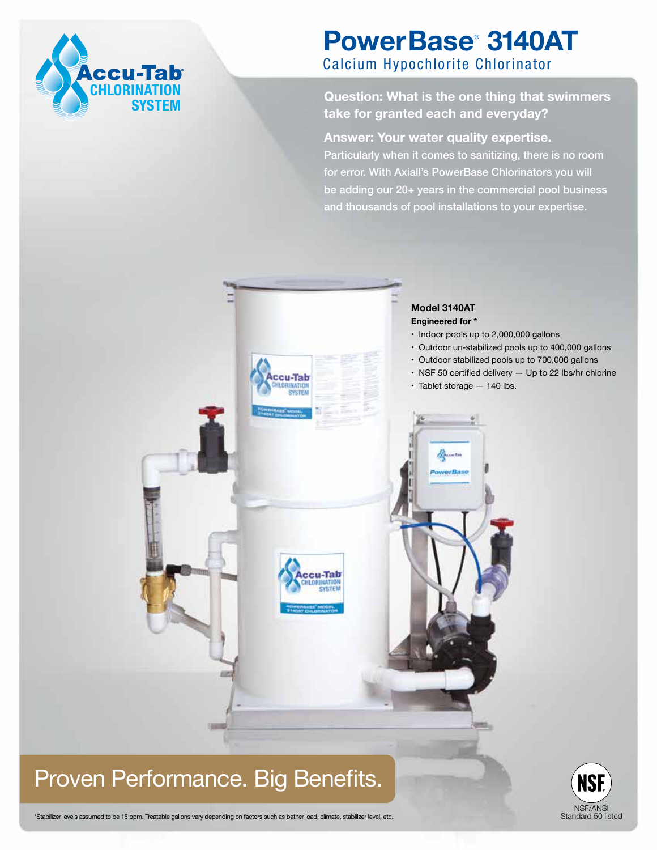

# **PowerBase**®  **3140AT** Calcium Hypochlorite Chlorinator

## **Question: What is the one thing that swimmers take for granted each and everyday?**

**Answer: Your water quality expertise.** 

Particularly when it comes to sanitizing, there is no room for error. With Axiall's PowerBase Chlorinators you will be adding our 20+ years in the commercial pool business and thousands of pool installations to your expertise.

Standard 50 listed